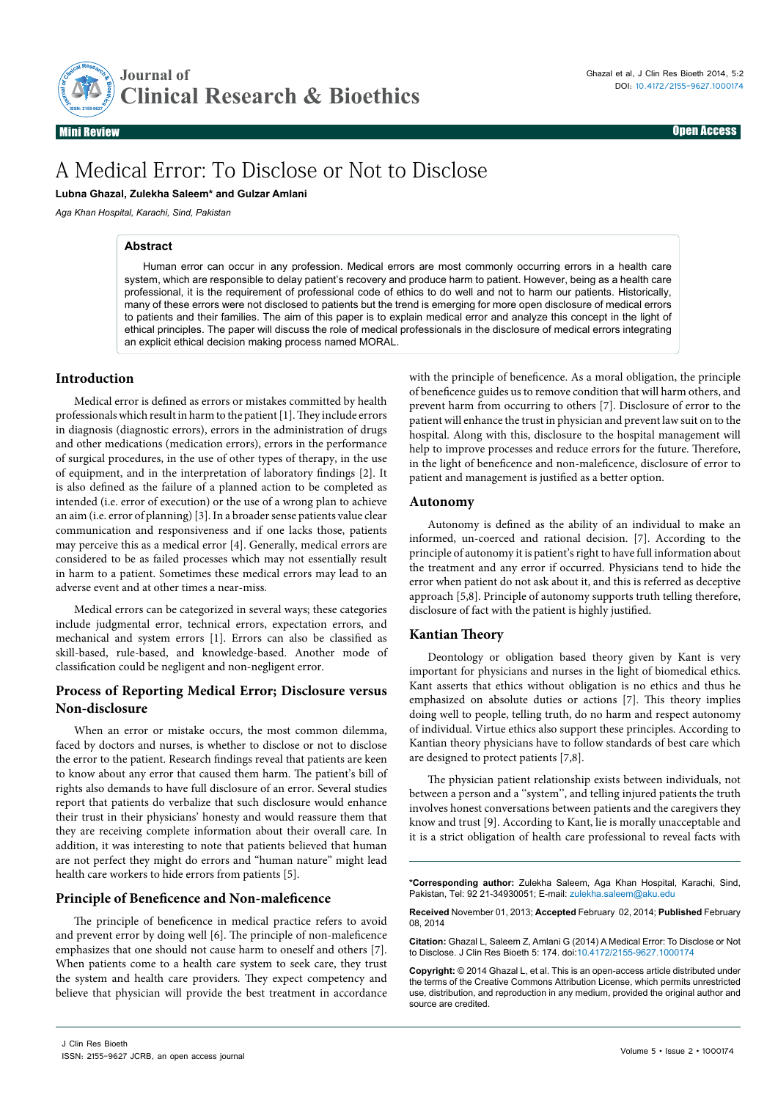

Mini Review Open Access

# A Medical Error: To Disclose or Not to Disclose

**Lubna Ghazal, Zulekha Saleem\* and Gulzar Amlani**

*Aga Khan Hospital, Karachi, Sind, Pakistan*

#### **Abstract**

Human error can occur in any profession. Medical errors are most commonly occurring errors in a health care system, which are responsible to delay patient's recovery and produce harm to patient. However, being as a health care professional, it is the requirement of professional code of ethics to do well and not to harm our patients. Historically, many of these errors were not disclosed to patients but the trend is emerging for more open disclosure of medical errors to patients and their families. The aim of this paper is to explain medical error and analyze this concept in the light of ethical principles. The paper will discuss the role of medical professionals in the disclosure of medical errors integrating an explicit ethical decision making process named MORAL.

## **Introduction**

Medical error is defined as [errors](http://www.mondofacto.com/facts/dictionary?Errors) or [mistakes](http://www.mondofacto.com/facts/dictionary?mistakes) committed by [health](http://www.mondofacto.com/facts/dictionary?health) professionals which [result](http://www.mondofacto.com/facts/dictionary?result) in harm to the [patient](http://www.mondofacto.com/facts/dictionary?patient) [1]. They include errors in [diagnosis](http://www.mondofacto.com/facts/dictionary?diagnosis) [\(diagnostic errors](http://www.mondofacto.com/facts/dictionary?diagnostic+errors)), errors in the [administration](http://www.mondofacto.com/facts/dictionary?administration) of [drugs](http://www.mondofacto.com/facts/dictionary?drugs) and other [medications](http://www.mondofacto.com/facts/dictionary?medications) ([medication errors\)](http://www.mondofacto.com/facts/dictionary?medication+errors), errors in the [performance](http://www.mondofacto.com/facts/dictionary?performance) of [surgical](http://www.mondofacto.com/facts/dictionary?surgical) [procedures](http://www.mondofacto.com/facts/dictionary?procedures), in the use of other [types](http://www.mondofacto.com/facts/dictionary?types) of [therapy](http://www.mondofacto.com/facts/dictionary?therapy), in the use of equipment, and in the [interpretation](http://www.mondofacto.com/facts/dictionary?interpretation) of [laboratory](http://www.mondofacto.com/facts/dictionary?laboratory) [findings](http://www.mondofacto.com/facts/dictionary?findings) [2]. It is also defined as the failure of a planned action to be completed as intended (i.e. error of execution) or the use of a wrong plan to achieve an aim (i.e. error of planning) [3]. In a broader sense patients value clear communication and responsiveness and if one lacks those, patients may perceive this as a medical error [4]. Generally, medical errors are considered to be as failed processes which may not essentially result in harm to a patient. Sometimes these medical errors may lead to an adverse event and at other times a near-miss.

Medical errors can be categorized in several ways; these categories include judgmental error, technical errors, expectation errors, and mechanical and system errors [1]. Errors can also be classified as skill-based, rule-based, and knowledge-based. Another mode of classification could be negligent and non-negligent error.

# **Process of Reporting Medical Error; Disclosure versus Non-disclosure**

When an error or mistake occurs, the most common dilemma, faced by doctors and nurses, is whether to disclose or not to disclose the error to the patient. Research findings reveal that patients are keen to know about any error that caused them harm. The patient's bill of rights also demands to have full disclosure of an error. Several studies report that patients do verbalize that such disclosure would enhance their trust in their physicians' honesty and would reassure them that they are receiving complete information about their overall care. In addition, it was interesting to note that patients believed that human are not perfect they might do errors and "human nature" might lead health care workers to hide errors from patients [5].

## **Principle of Beneficence and Non-maleficence**

The principle of beneficence in medical practice refers to avoid and prevent error by doing well [6]. The principle of non-maleficence emphasizes that one should not cause harm to oneself and others [7]. When patients come to a health care system to seek care, they trust the system and health care providers. They expect competency and believe that physician will provide the best treatment in accordance

with the principle of beneficence. As a moral obligation, the principle of beneficence guides us to remove condition that will harm others, and prevent harm from occurring to others [7]. Disclosure of error to the patient will enhance the trust in physician and prevent law suit on to the hospital. Along with this, disclosure to the hospital management will help to improve processes and reduce errors for the future. Therefore, in the light of beneficence and non-maleficence, disclosure of error to patient and management is justified as a better option.

#### **Autonomy**

Autonomy is defined as the ability of an individual to make an informed, un-coerced and rational decision. [7]. According to the principle of autonomy it is patient's right to have full information about the treatment and any error if occurred. Physicians tend to hide the error when patient do not ask about it, and this is referred as deceptive approach [5,8]. Principle of autonomy supports truth telling therefore, disclosure of fact with the patient is highly justified.

## **Kantian Theory**

Deontology or obligation based theory given by Kant is very important for physicians and nurses in the light of biomedical ethics. Kant asserts that ethics without obligation is no ethics and thus he emphasized on absolute duties or actions [7]. This theory implies doing well to people, telling truth, do no harm and respect autonomy of individual. Virtue ethics also support these principles. According to Kantian theory physicians have to follow standards of best care which are designed to protect patients [7,8].

The physician patient relationship exists between individuals, not between a person and a ''system'', and telling injured patients the truth involves honest conversations between patients and the caregivers they know and trust [9]. According to Kant, lie is morally unacceptable and it is a strict obligation of health care professional to reveal facts with

**\*Corresponding author:** Zulekha Saleem, Aga Khan Hospital, Karachi, Sind, Pakistan, Tel: 92 21-34930051; E-mail: zulekha.saleem@aku.edu

**Received** November 01, 2013; **Accepted** February 02, 2014; **Published** February 08, 2014

**Citation:** Ghazal L, Saleem Z, Amlani G (2014) A Medical Error: To Disclose or Not to Disclose. J Clin Res Bioeth 5: 174. doi:10.4172/2155-9627.1000174

**Copyright:** © 2014 Ghazal L, et al. This is an open-access article distributed under the terms of the Creative Commons Attribution License, which permits unrestricted use, distribution, and reproduction in any medium, provided the original author and source are credited.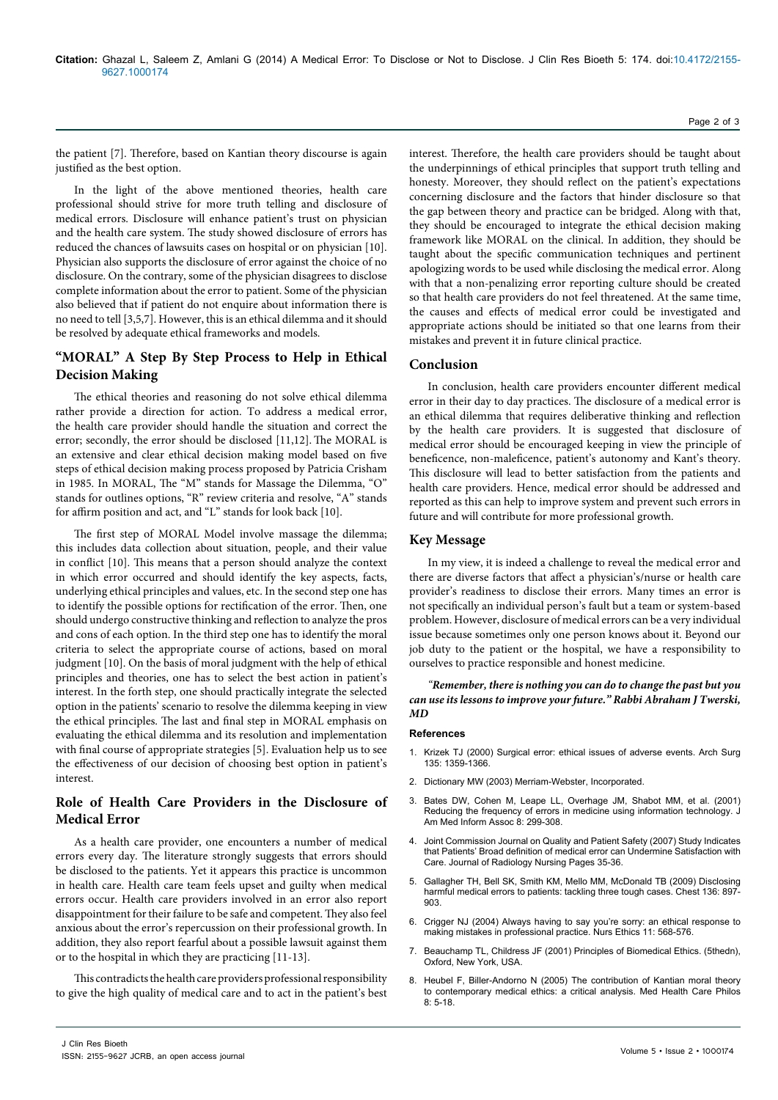the patient [7]. Therefore, based on Kantian theory discourse is again justified as the best option.

In the light of the above mentioned theories, health care professional should strive for more truth telling and disclosure of medical errors. Disclosure will enhance patient's trust on physician and the health care system. The study showed disclosure of errors has reduced the chances of lawsuits cases on hospital or on physician [10]. Physician also supports the disclosure of error against the choice of no disclosure. On the contrary, some of the physician disagrees to disclose complete information about the error to patient. Some of the physician also believed that if patient do not enquire about information there is no need to tell [3,5,7]. However, this is an ethical dilemma and it should be resolved by adequate ethical frameworks and models.

# **"MORAL" A Step By Step Process to Help in Ethical Decision Making**

The ethical theories and reasoning do not solve ethical dilemma rather provide a direction for action. To address a medical error, the health care provider should handle the situation and correct the error; secondly, the error should be disclosed [11,12]. The MORAL is an extensive and clear ethical decision making model based on five steps of ethical decision making process proposed by Patricia Crisham in 1985. In MORAL, The "M" stands for Massage the Dilemma, "O" stands for outlines options, "R" review criteria and resolve, "A" stands for affirm position and act, and "L" stands for look back [10].

The first step of MORAL Model involve massage the dilemma; this includes data collection about situation, people, and their value in conflict [10]. This means that a person should analyze the context in which error occurred and should identify the key aspects, facts, underlying ethical principles and values, etc. In the second step one has to identify the possible options for rectification of the error. Then, one should undergo constructive thinking and reflection to analyze the pros and cons of each option. In the third step one has to identify the moral criteria to select the appropriate course of actions, based on moral judgment [10]. On the basis of moral judgment with the help of ethical principles and theories, one has to select the best action in patient's interest. In the forth step, one should practically integrate the selected option in the patients' scenario to resolve the dilemma keeping in view the ethical principles. The last and final step in MORAL emphasis on evaluating the ethical dilemma and its resolution and implementation with final course of appropriate strategies [5]. Evaluation help us to see the effectiveness of our decision of choosing best option in patient's interest.

# **Role of Health Care Providers in the Disclosure of Medical Error**

As a health care provider, one encounters a number of medical errors every day. The literature strongly suggests that errors should be disclosed to the patients. Yet it appears this practice is uncommon in health care. Health care team feels upset and guilty when medical errors occur. Health care providers involved in an error also report disappointment for their failure to be safe and competent. They also feel anxious about the error's repercussion on their professional growth. In addition, they also report fearful about a possible lawsuit against them or to the hospital in which they are practicing [11-13].

This contradicts the health care providers professional responsibility to give the high quality of medical care and to act in the patient's best

interest. Therefore, the health care providers should be taught about the underpinnings of ethical principles that support truth telling and honesty. Moreover, they should reflect on the patient's expectations concerning disclosure and the factors that hinder disclosure so that the gap between theory and practice can be bridged. Along with that, they should be encouraged to integrate the ethical decision making framework like MORAL on the clinical. In addition, they should be taught about the specific communication techniques and pertinent apologizing words to be used while disclosing the medical error. Along with that a non-penalizing error reporting culture should be created so that health care providers do not feel threatened. At the same time, the causes and effects of medical error could be investigated and appropriate actions should be initiated so that one learns from their mistakes and prevent it in future clinical practice.

## **Conclusion**

In conclusion, health care providers encounter different medical error in their day to day practices. The disclosure of a medical error is an ethical dilemma that requires deliberative thinking and reflection by the health care providers. It is suggested that disclosure of medical error should be encouraged keeping in view the principle of beneficence, non-maleficence, patient's autonomy and Kant's theory. This disclosure will lead to better satisfaction from the patients and health care providers. Hence, medical error should be addressed and reported as this can help to improve system and prevent such errors in future and will contribute for more professional growth.

# **Key Message**

In my view, it is indeed a challenge to reveal the medical error and there are diverse factors that affect a physician's/nurse or health care provider's readiness to disclose their errors. Many times an error is not specifically an individual person's fault but a team or system-based problem. However, disclosure of medical errors can be a very individual issue because sometimes only one person knows about it. Beyond our job duty to the patient or the hospital, we have a responsibility to ourselves to practice responsible and honest medicine.

## *"Remember, there is nothing you can do to change the past but you can use its lessons to improve your future." Rabbi Abraham J Twerski, MD*

## **References**

- 1. [Krizek TJ \(2000\) Surgical error: ethical issues of adverse events. Arch Surg](http://www.ncbi.nlm.nih.gov/pubmed/11074896) [135: 1359-1366.](http://www.ncbi.nlm.nih.gov/pubmed/11074896)
- 2. Dictionary MW (2003) Merriam-Webster, Incorporated.
- 3. [Bates DW, Cohen M, Leape LL, Overhage JM, Shabot MM, et al. \(2001\)](http://www.ncbi.nlm.nih.gov/pubmed/11418536) [Reducing the frequency of errors in medicine using information technology. J](http://www.ncbi.nlm.nih.gov/pubmed/11418536) [Am Med Inform Assoc 8: 299-308.](http://www.ncbi.nlm.nih.gov/pubmed/11418536)
- 4. Joint Commission Journal on Quality and Patient Safety (2007) Study Indicates that Patients' Broad definition of medical error can Undermine Satisfaction with Care. Journal of Radiology Nursing Pages 35-36.
- 5. [Gallagher TH, Bell SK, Smith KM, Mello MM, McDonald TB \(2009\) Disclosing](http://www.ncbi.nlm.nih.gov/pubmed/19736193) [harmful medical errors to patients: tackling three tough cases. Chest 136: 897-](http://www.ncbi.nlm.nih.gov/pubmed/19736193) [903.](http://www.ncbi.nlm.nih.gov/pubmed/19736193)
- 6. [Crigger NJ \(2004\) Always having to say you're sorry: an ethical response to](http://www.ncbi.nlm.nih.gov/pubmed/15597937) [making mistakes in professional practice. Nurs Ethics 11: 568-576.](http://www.ncbi.nlm.nih.gov/pubmed/15597937)
- 7. Beauchamp TL, Childress JF (2001) Principles of Biomedical Ethics. (5thedn), Oxford, New York, USA.
- 8. [Heubel F, Biller-Andorno N \(2005\) The contribution of Kantian moral theory](http://www.ncbi.nlm.nih.gov/pubmed/15906935) [to contemporary medical ethics: a critical analysis. Med Health Care Philos](http://www.ncbi.nlm.nih.gov/pubmed/15906935)  $8: 5-18$